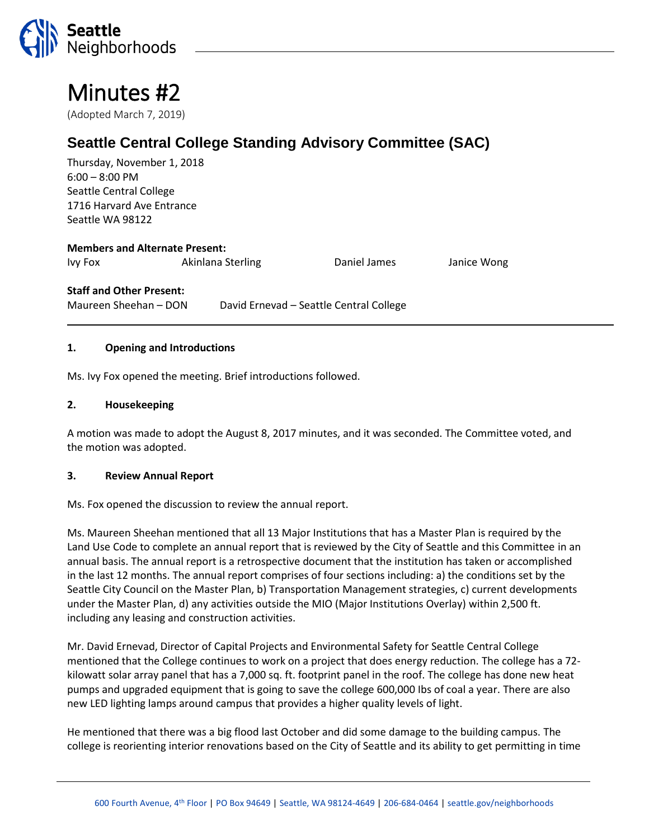

# Minutes #2

(Adopted March 7, 2019)

## **Seattle Central College Standing Advisory Committee (SAC)**

Thursday, November 1, 2018 6:00 – 8:00 PM Seattle Central College 1716 Harvard Ave Entrance Seattle WA 98122

### **Members and Alternate Present:**

Ivy Fox Akinlana Sterling Daniel James Janice Wong

#### **Staff and Other Present:**

Maureen Sheehan – DON David Ernevad – Seattle Central College

#### **1. Opening and Introductions**

Ms. Ivy Fox opened the meeting. Brief introductions followed.

#### **2. Housekeeping**

A motion was made to adopt the August 8, 2017 minutes, and it was seconded. The Committee voted, and the motion was adopted.

#### **3. Review Annual Report**

Ms. Fox opened the discussion to review the annual report.

Ms. Maureen Sheehan mentioned that all 13 Major Institutions that has a Master Plan is required by the Land Use Code to complete an annual report that is reviewed by the City of Seattle and this Committee in an annual basis. The annual report is a retrospective document that the institution has taken or accomplished in the last 12 months. The annual report comprises of four sections including: a) the conditions set by the Seattle City Council on the Master Plan, b) Transportation Management strategies, c) current developments under the Master Plan, d) any activities outside the MIO (Major Institutions Overlay) within 2,500 ft. including any leasing and construction activities.

Mr. David Ernevad, Director of Capital Projects and Environmental Safety for Seattle Central College mentioned that the College continues to work on a project that does energy reduction. The college has a 72 kilowatt solar array panel that has a 7,000 sq. ft. footprint panel in the roof. The college has done new heat pumps and upgraded equipment that is going to save the college 600,000 Ibs of coal a year. There are also new LED lighting lamps around campus that provides a higher quality levels of light.

He mentioned that there was a big flood last October and did some damage to the building campus. The college is reorienting interior renovations based on the City of Seattle and its ability to get permitting in time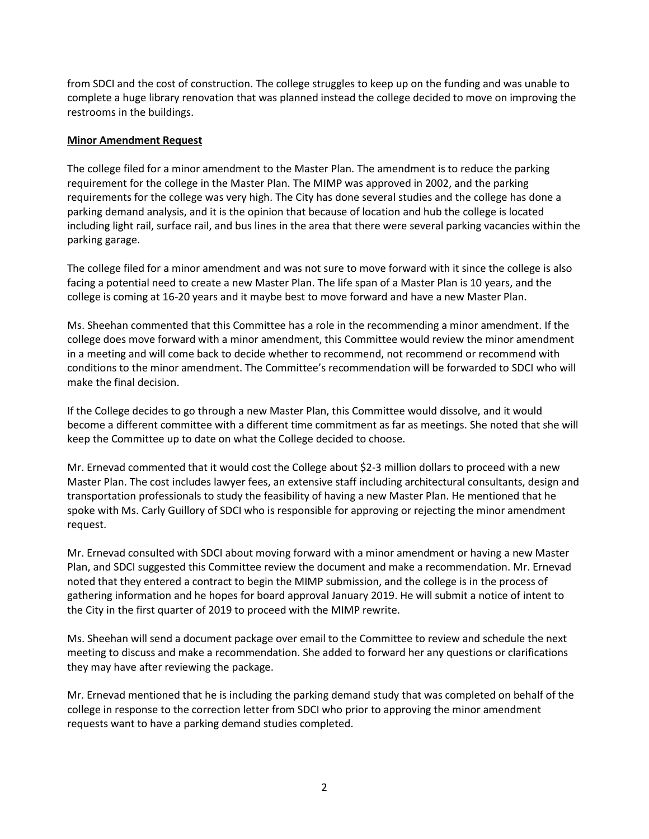from SDCI and the cost of construction. The college struggles to keep up on the funding and was unable to complete a huge library renovation that was planned instead the college decided to move on improving the restrooms in the buildings.

#### **Minor Amendment Request**

The college filed for a minor amendment to the Master Plan. The amendment is to reduce the parking requirement for the college in the Master Plan. The MIMP was approved in 2002, and the parking requirements for the college was very high. The City has done several studies and the college has done a parking demand analysis, and it is the opinion that because of location and hub the college is located including light rail, surface rail, and bus lines in the area that there were several parking vacancies within the parking garage.

The college filed for a minor amendment and was not sure to move forward with it since the college is also facing a potential need to create a new Master Plan. The life span of a Master Plan is 10 years, and the college is coming at 16-20 years and it maybe best to move forward and have a new Master Plan.

Ms. Sheehan commented that this Committee has a role in the recommending a minor amendment. If the college does move forward with a minor amendment, this Committee would review the minor amendment in a meeting and will come back to decide whether to recommend, not recommend or recommend with conditions to the minor amendment. The Committee's recommendation will be forwarded to SDCI who will make the final decision.

If the College decides to go through a new Master Plan, this Committee would dissolve, and it would become a different committee with a different time commitment as far as meetings. She noted that she will keep the Committee up to date on what the College decided to choose.

Mr. Ernevad commented that it would cost the College about \$2-3 million dollars to proceed with a new Master Plan. The cost includes lawyer fees, an extensive staff including architectural consultants, design and transportation professionals to study the feasibility of having a new Master Plan. He mentioned that he spoke with Ms. Carly Guillory of SDCI who is responsible for approving or rejecting the minor amendment request.

Mr. Ernevad consulted with SDCI about moving forward with a minor amendment or having a new Master Plan, and SDCI suggested this Committee review the document and make a recommendation. Mr. Ernevad noted that they entered a contract to begin the MIMP submission, and the college is in the process of gathering information and he hopes for board approval January 2019. He will submit a notice of intent to the City in the first quarter of 2019 to proceed with the MIMP rewrite.

Ms. Sheehan will send a document package over email to the Committee to review and schedule the next meeting to discuss and make a recommendation. She added to forward her any questions or clarifications they may have after reviewing the package.

Mr. Ernevad mentioned that he is including the parking demand study that was completed on behalf of the college in response to the correction letter from SDCI who prior to approving the minor amendment requests want to have a parking demand studies completed.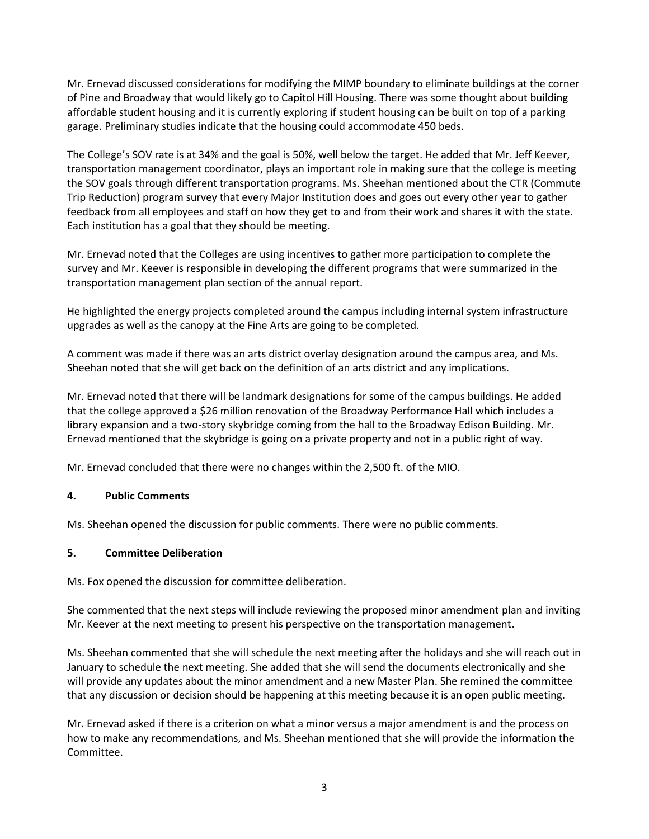Mr. Ernevad discussed considerations for modifying the MIMP boundary to eliminate buildings at the corner of Pine and Broadway that would likely go to Capitol Hill Housing. There was some thought about building affordable student housing and it is currently exploring if student housing can be built on top of a parking garage. Preliminary studies indicate that the housing could accommodate 450 beds.

The College's SOV rate is at 34% and the goal is 50%, well below the target. He added that Mr. Jeff Keever, transportation management coordinator, plays an important role in making sure that the college is meeting the SOV goals through different transportation programs. Ms. Sheehan mentioned about the CTR (Commute Trip Reduction) program survey that every Major Institution does and goes out every other year to gather feedback from all employees and staff on how they get to and from their work and shares it with the state. Each institution has a goal that they should be meeting.

Mr. Ernevad noted that the Colleges are using incentives to gather more participation to complete the survey and Mr. Keever is responsible in developing the different programs that were summarized in the transportation management plan section of the annual report.

He highlighted the energy projects completed around the campus including internal system infrastructure upgrades as well as the canopy at the Fine Arts are going to be completed.

A comment was made if there was an arts district overlay designation around the campus area, and Ms. Sheehan noted that she will get back on the definition of an arts district and any implications.

Mr. Ernevad noted that there will be landmark designations for some of the campus buildings. He added that the college approved a \$26 million renovation of the Broadway Performance Hall which includes a library expansion and a two-story skybridge coming from the hall to the Broadway Edison Building. Mr. Ernevad mentioned that the skybridge is going on a private property and not in a public right of way.

Mr. Ernevad concluded that there were no changes within the 2,500 ft. of the MIO.

#### **4. Public Comments**

Ms. Sheehan opened the discussion for public comments. There were no public comments.

#### **5. Committee Deliberation**

Ms. Fox opened the discussion for committee deliberation.

She commented that the next steps will include reviewing the proposed minor amendment plan and inviting Mr. Keever at the next meeting to present his perspective on the transportation management.

Ms. Sheehan commented that she will schedule the next meeting after the holidays and she will reach out in January to schedule the next meeting. She added that she will send the documents electronically and she will provide any updates about the minor amendment and a new Master Plan. She remined the committee that any discussion or decision should be happening at this meeting because it is an open public meeting.

Mr. Ernevad asked if there is a criterion on what a minor versus a major amendment is and the process on how to make any recommendations, and Ms. Sheehan mentioned that she will provide the information the Committee.